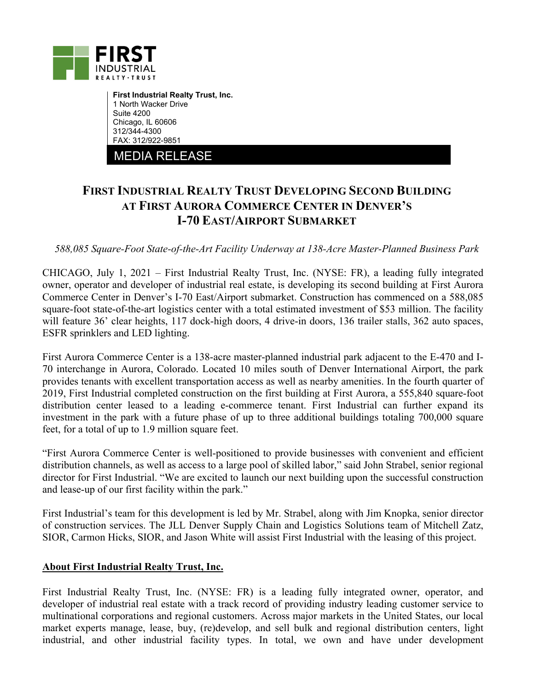

**First Industrial Realty Trust, Inc.**  1 North Wacker Drive Suite 4200 Chicago, IL 60606 312/344-4300 FAX: 312/922-9851

MEDIA RELEASE

## **FIRST INDUSTRIAL REALTY TRUST DEVELOPING SECOND BUILDING AT FIRST AURORA COMMERCE CENTER IN DENVER'S I-70 EAST/AIRPORT SUBMARKET**

*588,085 Square-Foot State-of-the-Art Facility Underway at 138-Acre Master-Planned Business Park* 

CHICAGO, July 1, 2021 – First Industrial Realty Trust, Inc. (NYSE: FR), a leading fully integrated owner, operator and developer of industrial real estate, is developing its second building at First Aurora Commerce Center in Denver's I-70 East/Airport submarket. Construction has commenced on a 588,085 square-foot state-of-the-art logistics center with a total estimated investment of \$53 million. The facility will feature 36' clear heights, 117 dock-high doors, 4 drive-in doors, 136 trailer stalls, 362 auto spaces, ESFR sprinklers and LED lighting.

First Aurora Commerce Center is a 138-acre master-planned industrial park adjacent to the E-470 and I-70 interchange in Aurora, Colorado. Located 10 miles south of Denver International Airport, the park provides tenants with excellent transportation access as well as nearby amenities. In the fourth quarter of 2019, First Industrial completed construction on the first building at First Aurora, a 555,840 square-foot distribution center leased to a leading e-commerce tenant. First Industrial can further expand its investment in the park with a future phase of up to three additional buildings totaling 700,000 square feet, for a total of up to 1.9 million square feet.

"First Aurora Commerce Center is well-positioned to provide businesses with convenient and efficient distribution channels, as well as access to a large pool of skilled labor," said John Strabel, senior regional director for First Industrial. "We are excited to launch our next building upon the successful construction and lease-up of our first facility within the park."

First Industrial's team for this development is led by Mr. Strabel, along with Jim Knopka, senior director of construction services. The JLL Denver Supply Chain and Logistics Solutions team of Mitchell Zatz, SIOR, Carmon Hicks, SIOR, and Jason White will assist First Industrial with the leasing of this project.

## **About First Industrial Realty Trust, Inc.**

First Industrial Realty Trust, Inc. (NYSE: FR) is a leading fully integrated owner, operator, and developer of industrial real estate with a track record of providing industry leading customer service to multinational corporations and regional customers. Across major markets in the United States, our local market experts manage, lease, buy, (re)develop, and sell bulk and regional distribution centers, light industrial, and other industrial facility types. In total, we own and have under development